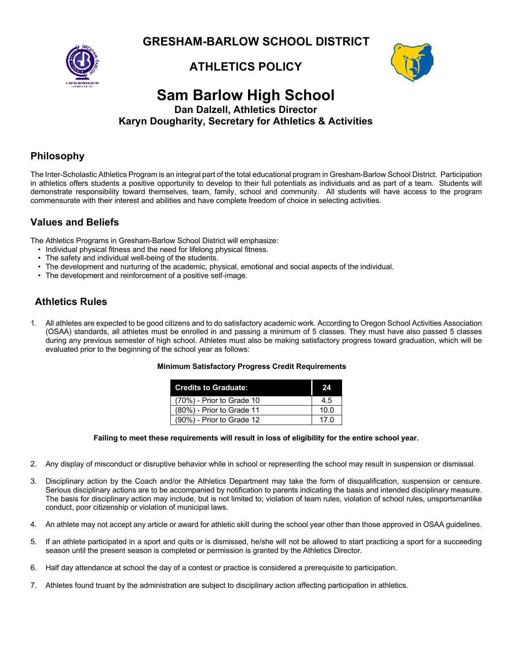**GRESHAM-BARLOW SCHOOL DISTRICT**





## **Sam Barlow High School Dan Dalzell, Athletics Director Karyn Dougharity, Secretary for Athletics & Activities**

## **Philosophy**

The Inter-Scholastic Athletics Program is an integral part of the total educational program in Gresham-Barlow School District. Participation in athletics offers students a positive opportunity to develop to their full potentials as individuals and as part of a team. Students will demonstrate responsibility toward themselves, team, family, school and community. All students will have access to the program commensurate with their interest and abilities and have complete freedom of choice in selecting activities.

# **Values and Beliefs**

The Athletics Programs in Gresham-Barlow School District will emphasize:

- Individual physical fitness and the need for lifelong physical fitness.
- The safety and individual well-being of the students.
- The development and nurturing of the academic, physical, emotional and social aspects of the individual.
- The development and reinforcement of a positive self-image.

# **Athletics Rules**

1. All athletes are expected to be good citizens and to do satisfactory academic work. According to Oregon School Activities Association (OSAA) standards, all athletes must be enrolled in and passing a minimum of 5 classes. They must have also passed 5 classes during any previous semester of high school. Athletes must also be making satisfactory progress toward graduation, which will be evaluated prior to the beginning of the school year as follows:

### **Minimum Satisfactory Progress Credit Requirements**

| <b>Credits to Graduate:</b> | 24          |
|-----------------------------|-------------|
| (70%) - Prior to Grade 10   | 45          |
| (80%) - Prior to Grade 11   | 10.0        |
| (90%) - Prior to Grade 12   | 17 $\Omega$ |

### **Failing to meet these requirements will result in loss of eligibility for the entire school year.**

- 2. Any display of misconduct or disruptive behavior while in school or representing the school may result in suspension or dismissal.
- 3. Disciplinary action by the Coach and/or the Athletics Department may take the form of disqualification, suspension or censure. Serious disciplinary actions are to be accompanied by notification to parents indicating the basis and intended disciplinary measure. The basis for disciplinary action may include, but is not limited to; violation of team rules, violation of school rules, unsportsmanlike conduct, poor citizenship or violation of municipal laws.
- 4. An athlete may not accept any article or award for athletic skill during the school year other than those approved in OSAA guidelines.
- 5. If an athlete participated in a sport and quits or is dismissed, he/she will not be allowed to start practicing a sport for a succeeding season until the present season is completed or permission is granted by the Athletics Director.
- 6. Half day attendance at school the day of a contest or practice is considered a prerequisite to participation.
- 7. Athletes found truant by the administration are subject to disciplinary action affecting participation in athletics.